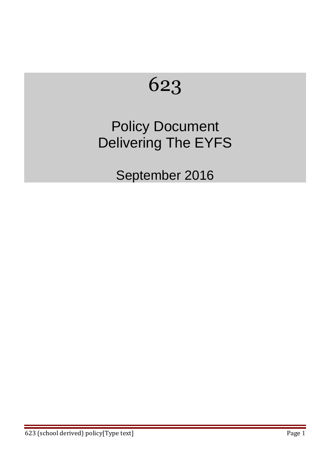# 623

## Policy Document Delivering The EYFS

September 2016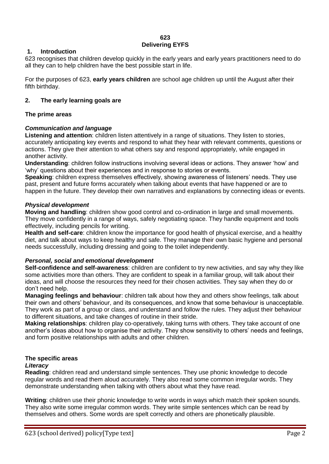#### **623 Delivering EYFS**

#### **1. Introduction**

623 recognises that children develop quickly in the early years and early years practitioners need to do all they can to help children have the best possible start in life.

For the purposes of 623, **early years children** are school age children up until the August after their fifth birthday.

#### **2. The early learning goals are**

#### **The prime areas**

#### *Communication and language*

**Listening and attention**: children listen attentively in a range of situations. They listen to stories, accurately anticipating key events and respond to what they hear with relevant comments, questions or actions. They give their attention to what others say and respond appropriately, while engaged in another activity.

**Understanding**: children follow instructions involving several ideas or actions. They answer 'how' and 'why' questions about their experiences and in response to stories or events.

**Speaking**: children express themselves effectively, showing awareness of listeners' needs. They use past, present and future forms accurately when talking about events that have happened or are to happen in the future. They develop their own narratives and explanations by connecting ideas or events.

#### *Physical development*

**Moving and handling**: children show good control and co-ordination in large and small movements. They move confidently in a range of ways, safely negotiating space. They handle equipment and tools effectively, including pencils for writing.

**Health and self-care**: children know the importance for good health of physical exercise, and a healthy diet, and talk about ways to keep healthy and safe. They manage their own basic hygiene and personal needs successfully, including dressing and going to the toilet independently.

#### *Personal, social and emotional development*

**Self-confidence and self-awareness**: children are confident to try new activities, and say why they like some activities more than others. They are confident to speak in a familiar group, will talk about their ideas, and will choose the resources they need for their chosen activities. They say when they do or don't need help.

**Managing feelings and behaviour**: children talk about how they and others show feelings, talk about their own and others' behaviour, and its consequences, and know that some behaviour is unacceptable. They work as part of a group or class, and understand and follow the rules. They adjust their behaviour to different situations, and take changes of routine in their stride.

**Making relationships**: children play co-operatively, taking turns with others. They take account of one another's ideas about how to organise their activity. They show sensitivity to others' needs and feelings, and form positive relationships with adults and other children.

### **The specific areas**

#### *Literacy*

**Reading**: children read and understand simple sentences. They use phonic knowledge to decode regular words and read them aloud accurately. They also read some common irregular words. They demonstrate understanding when talking with others about what they have read.

**Writing**: children use their phonic knowledge to write words in ways which match their spoken sounds. They also write some irregular common words. They write simple sentences which can be read by themselves and others. Some words are spelt correctly and others are phonetically plausible.